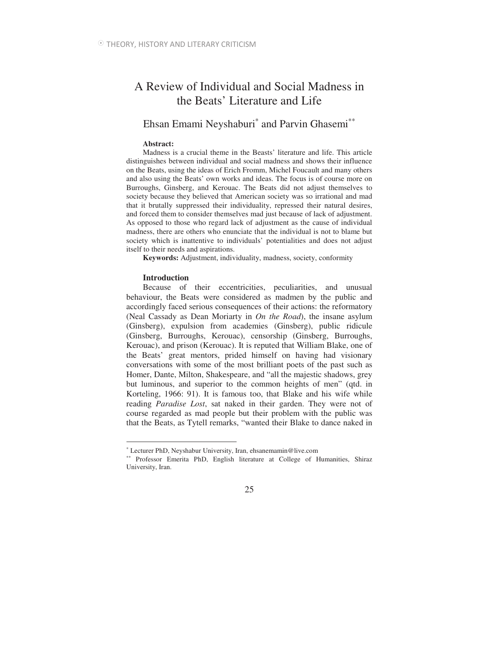# A Review of Individual and Social Madness in the Beats' Literature and Life

# Ehsan Emami Neyshaburi<sup>\*</sup> and Parvin Ghasemi<sup>\*\*</sup>

### **Abstract:**

Madness is a crucial theme in the Beasts' literature and life. This article distinguishes between individual and social madness and shows their influence on the Beats, using the ideas of Erich Fromm, Michel Foucault and many others and also using the Beats' own works and ideas. The focus is of course more on Burroughs, Ginsberg, and Kerouac. The Beats did not adjust themselves to society because they believed that American society was so irrational and mad that it brutally suppressed their individuality, repressed their natural desires, and forced them to consider themselves mad just because of lack of adjustment. As opposed to those who regard lack of adjustment as the cause of individual madness, there are others who enunciate that the individual is not to blame but society which is inattentive to individuals' potentialities and does not adjust itself to their needs and aspirations.

**Keywords:** Adjustment, individuality, madness, society, conformity

# **Introduction**

 $\overline{a}$ 

Because of their eccentricities, peculiarities, and unusual behaviour, the Beats were considered as madmen by the public and accordingly faced serious consequences of their actions: the reformatory (Neal Cassady as Dean Moriarty in *On the Road*), the insane asylum (Ginsberg), expulsion from academies (Ginsberg), public ridicule (Ginsberg, Burroughs, Kerouac), censorship (Ginsberg, Burroughs, Kerouac), and prison (Kerouac). It is reputed that William Blake, one of the Beats' great mentors, prided himself on having had visionary conversations with some of the most brilliant poets of the past such as Homer, Dante, Milton, Shakespeare, and "all the majestic shadows, grey but luminous, and superior to the common heights of men" (qtd. in Korteling, 1966: 91). It is famous too, that Blake and his wife while reading *Paradise Lost*, sat naked in their garden. They were not of course regarded as mad people but their problem with the public was that the Beats, as Tytell remarks, "wanted their Blake to dance naked in

<sup>∗</sup> Lecturer PhD, Neyshabur University, Iran, ehsanemamin@live.com

<sup>∗∗</sup> Professor Emerita PhD, English literature at College of Humanities, Shiraz University, Iran.

<sup>25</sup>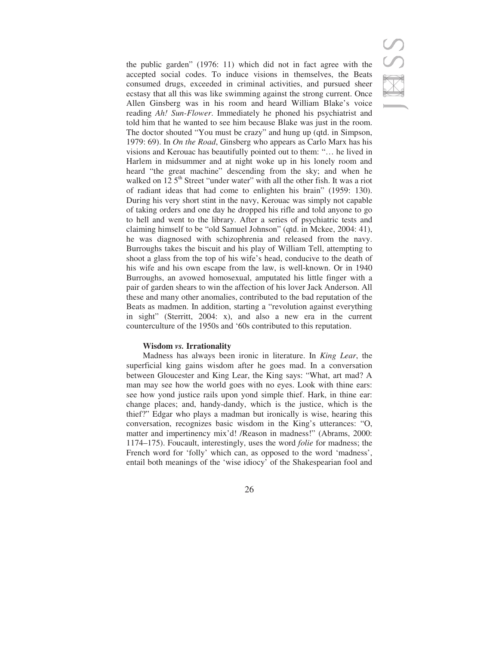the public garden" (1976: 11) which did not in fact agree with the accepted social codes. To induce visions in themselves, the Beats consumed drugs, exceeded in criminal activities, and pursued sheer ecstasy that all this was like swimming against the strong current. Once Allen Ginsberg was in his room and heard William Blake's voice reading *Ah! Sun-Flower*. Immediately he phoned his psychiatrist and told him that he wanted to see him because Blake was just in the room. The doctor shouted "You must be crazy" and hung up (qtd. in Simpson, 1979: 69). In *On the Road*, Ginsberg who appears as Carlo Marx has his visions and Kerouac has beautifully pointed out to them: "… he lived in Harlem in midsummer and at night woke up in his lonely room and heard "the great machine" descending from the sky; and when he walked on 12  $5<sup>th</sup>$  Street "under water" with all the other fish. It was a riot of radiant ideas that had come to enlighten his brain" (1959: 130). During his very short stint in the navy, Kerouac was simply not capable of taking orders and one day he dropped his rifle and told anyone to go to hell and went to the library. After a series of psychiatric tests and claiming himself to be "old Samuel Johnson" (qtd. in Mckee, 2004: 41), he was diagnosed with schizophrenia and released from the navy. Burroughs takes the biscuit and his play of William Tell, attempting to shoot a glass from the top of his wife's head, conducive to the death of his wife and his own escape from the law, is well-known. Or in 1940 Burroughs, an avowed homosexual, amputated his little finger with a pair of garden shears to win the affection of his lover Jack Anderson. All these and many other anomalies, contributed to the bad reputation of the Beats as madmen. In addition, starting a "revolution against everything in sight" (Sterritt, 2004: x), and also a new era in the current counterculture of the 1950s and '60s contributed to this reputation.

### **Wisdom** *vs.* **Irrationality**

Madness has always been ironic in literature. In *King Lear*, the superficial king gains wisdom after he goes mad. In a conversation between Gloucester and King Lear, the King says: "What, art mad? A man may see how the world goes with no eyes. Look with thine ears: see how yond justice rails upon yond simple thief. Hark, in thine ear: change places; and, handy-dandy, which is the justice, which is the thief?" Edgar who plays a madman but ironically is wise, hearing this conversation, recognizes basic wisdom in the King's utterances: "O, matter and impertinency mix'd! /Reason in madness!" (Abrams, 2000: 1174–175). Foucault, interestingly, uses the word *folie* for madness; the French word for 'folly' which can, as opposed to the word 'madness', entail both meanings of the 'wise idiocy' of the Shakespearian fool and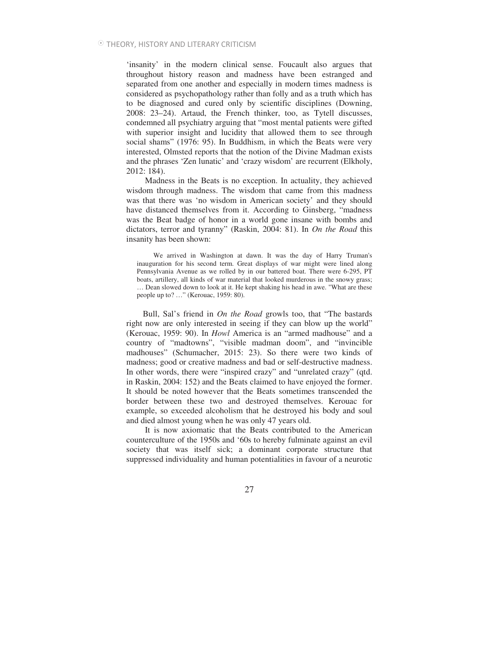'insanity' in the modern clinical sense. Foucault also argues that throughout history reason and madness have been estranged and separated from one another and especially in modern times madness is considered as psychopathology rather than folly and as a truth which has to be diagnosed and cured only by scientific disciplines (Downing, 2008: 23–24). Artaud, the French thinker, too, as Tytell discusses, condemned all psychiatry arguing that "most mental patients were gifted with superior insight and lucidity that allowed them to see through social shams" (1976: 95). In Buddhism, in which the Beats were very interested, Olmsted reports that the notion of the Divine Madman exists and the phrases 'Zen lunatic' and 'crazy wisdom' are recurrent (Elkholy, 2012: 184).

 Madness in the Beats is no exception. In actuality, they achieved wisdom through madness. The wisdom that came from this madness was that there was 'no wisdom in American society' and they should have distanced themselves from it. According to Ginsberg, "madness was the Beat badge of honor in a world gone insane with bombs and dictators, terror and tyranny" (Raskin, 2004: 81). In *On the Road* this insanity has been shown:

We arrived in Washington at dawn. It was the day of Harry Truman's inauguration for his second term. Great displays of war might were lined along Pennsylvania Avenue as we rolled by in our battered boat. There were 6-295, PT boats, artillery, all kinds of war material that looked murderous in the snowy grass; … Dean slowed down to look at it. He kept shaking his head in awe. "What are these people up to? …" (Kerouac, 1959: 80).

Bull, Sal's friend in *On the Road* growls too, that "The bastards right now are only interested in seeing if they can blow up the world" (Kerouac, 1959: 90). In *Howl* America is an "armed madhouse" and a country of "madtowns", "visible madman doom", and "invincible madhouses" (Schumacher, 2015: 23). So there were two kinds of madness; good or creative madness and bad or self-destructive madness. In other words, there were "inspired crazy" and "unrelated crazy" (qtd. in Raskin, 2004: 152) and the Beats claimed to have enjoyed the former. It should be noted however that the Beats sometimes transcended the border between these two and destroyed themselves. Kerouac for example, so exceeded alcoholism that he destroyed his body and soul and died almost young when he was only 47 years old.

 It is now axiomatic that the Beats contributed to the American counterculture of the 1950s and '60s to hereby fulminate against an evil society that was itself sick; a dominant corporate structure that suppressed individuality and human potentialities in favour of a neurotic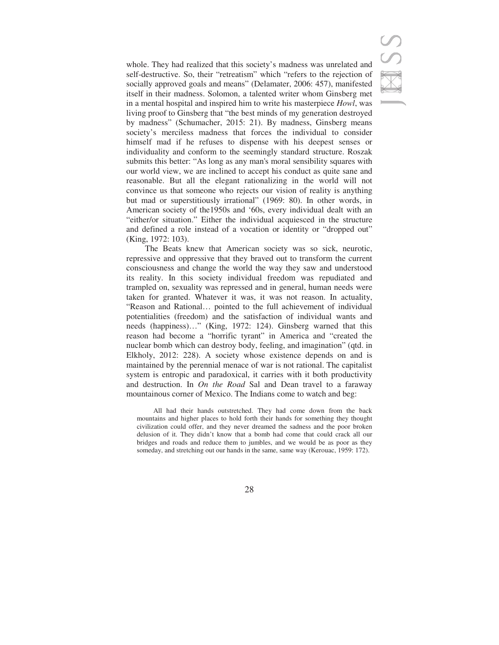whole. They had realized that this society's madness was unrelated and self-destructive. So, their "retreatism" which "refers to the rejection of socially approved goals and means" (Delamater, 2006: 457), manifested itself in their madness. Solomon, a talented writer whom Ginsberg met in a mental hospital and inspired him to write his masterpiece *Howl*, was living proof to Ginsberg that "the best minds of my generation destroyed by madness" (Schumacher, 2015: 21). By madness, Ginsberg means society's merciless madness that forces the individual to consider himself mad if he refuses to dispense with his deepest senses or individuality and conform to the seemingly standard structure. Roszak submits this better: "As long as any man's moral sensibility squares with our world view, we are inclined to accept his conduct as quite sane and reasonable. But all the elegant rationalizing in the world will not convince us that someone who rejects our vision of reality is anything but mad or superstitiously irrational" (1969: 80). In other words, in American society of the1950s and '60s, every individual dealt with an "either/or situation." Either the individual acquiesced in the structure and defined a role instead of a vocation or identity or "dropped out" (King, 1972: 103).

 The Beats knew that American society was so sick, neurotic, repressive and oppressive that they braved out to transform the current consciousness and change the world the way they saw and understood its reality. In this society individual freedom was repudiated and trampled on, sexuality was repressed and in general, human needs were taken for granted. Whatever it was, it was not reason. In actuality, "Reason and Rational… pointed to the full achievement of individual potentialities (freedom) and the satisfaction of individual wants and needs (happiness)…" (King, 1972: 124). Ginsberg warned that this reason had become a "horrific tyrant" in America and "created the nuclear bomb which can destroy body, feeling, and imagination" (qtd. in Elkholy, 2012: 228). A society whose existence depends on and is maintained by the perennial menace of war is not rational. The capitalist system is entropic and paradoxical, it carries with it both productivity and destruction. In *On the Road* Sal and Dean travel to a faraway mountainous corner of Mexico. The Indians come to watch and beg:

All had their hands outstretched. They had come down from the back mountains and higher places to hold forth their hands for something they thought civilization could offer, and they never dreamed the sadness and the poor broken delusion of it. They didn't know that a bomb had come that could crack all our bridges and roads and reduce them to jumbles, and we would be as poor as they someday, and stretching out our hands in the same, same way (Kerouac, 1959: 172).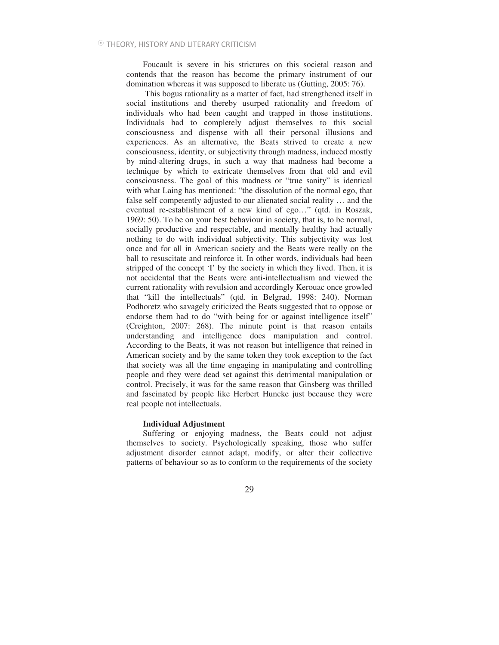Foucault is severe in his strictures on this societal reason and contends that the reason has become the primary instrument of our domination whereas it was supposed to liberate us (Gutting, 2005: 76).

 This bogus rationality as a matter of fact, had strengthened itself in social institutions and thereby usurped rationality and freedom of individuals who had been caught and trapped in those institutions. Individuals had to completely adjust themselves to this social consciousness and dispense with all their personal illusions and experiences. As an alternative, the Beats strived to create a new consciousness, identity, or subjectivity through madness, induced mostly by mind-altering drugs, in such a way that madness had become a technique by which to extricate themselves from that old and evil consciousness. The goal of this madness or "true sanity" is identical with what Laing has mentioned: "the dissolution of the normal ego, that false self competently adjusted to our alienated social reality … and the eventual re-establishment of a new kind of ego…" (qtd. in Roszak, 1969: 50). To be on your best behaviour in society, that is, to be normal, socially productive and respectable, and mentally healthy had actually nothing to do with individual subjectivity. This subjectivity was lost once and for all in American society and the Beats were really on the ball to resuscitate and reinforce it. In other words, individuals had been stripped of the concept 'I' by the society in which they lived. Then, it is not accidental that the Beats were anti-intellectualism and viewed the current rationality with revulsion and accordingly Kerouac once growled that "kill the intellectuals" (qtd. in Belgrad, 1998: 240). Norman Podhoretz who savagely criticized the Beats suggested that to oppose or endorse them had to do "with being for or against intelligence itself" (Creighton, 2007: 268). The minute point is that reason entails understanding and intelligence does manipulation and control. According to the Beats, it was not reason but intelligence that reined in American society and by the same token they took exception to the fact that society was all the time engaging in manipulating and controlling people and they were dead set against this detrimental manipulation or control. Precisely, it was for the same reason that Ginsberg was thrilled and fascinated by people like Herbert Huncke just because they were real people not intellectuals.

### **Individual Adjustment**

Suffering or enjoying madness, the Beats could not adjust themselves to society. Psychologically speaking, those who suffer adjustment disorder cannot adapt, modify, or alter their collective patterns of behaviour so as to conform to the requirements of the society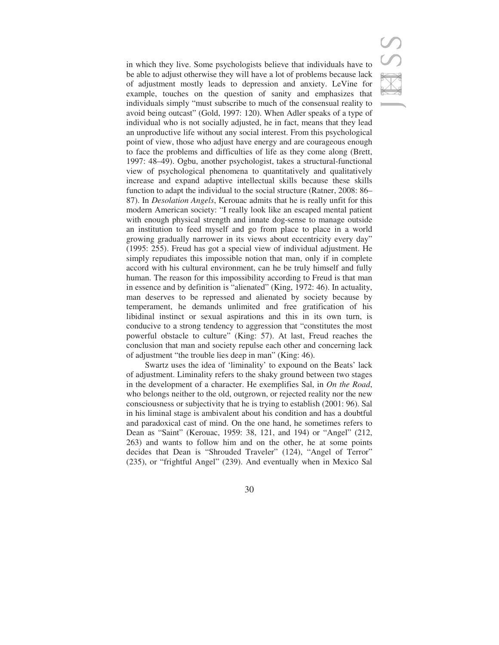in which they live. Some psychologists believe that individuals have to be able to adjust otherwise they will have a lot of problems because lack of adjustment mostly leads to depression and anxiety. LeVine for example, touches on the question of sanity and emphasizes that individuals simply "must subscribe to much of the consensual reality to avoid being outcast" (Gold, 1997: 120). When Adler speaks of a type of individual who is not socially adjusted, he in fact, means that they lead an unproductive life without any social interest. From this psychological point of view, those who adjust have energy and are courageous enough to face the problems and difficulties of life as they come along (Brett, 1997: 48–49). Ogbu, another psychologist, takes a structural-functional view of psychological phenomena to quantitatively and qualitatively increase and expand adaptive intellectual skills because these skills function to adapt the individual to the social structure (Ratner, 2008: 86– 87). In *Desolation Angels*, Kerouac admits that he is really unfit for this modern American society: "I really look like an escaped mental patient with enough physical strength and innate dog-sense to manage outside an institution to feed myself and go from place to place in a world growing gradually narrower in its views about eccentricity every day" (1995: 255). Freud has got a special view of individual adjustment. He simply repudiates this impossible notion that man, only if in complete accord with his cultural environment, can he be truly himself and fully human. The reason for this impossibility according to Freud is that man in essence and by definition is "alienated" (King, 1972: 46). In actuality, man deserves to be repressed and alienated by society because by temperament, he demands unlimited and free gratification of his libidinal instinct or sexual aspirations and this in its own turn, is conducive to a strong tendency to aggression that "constitutes the most powerful obstacle to culture" (King: 57). At last, Freud reaches the conclusion that man and society repulse each other and concerning lack of adjustment "the trouble lies deep in man" (King: 46).

 Swartz uses the idea of 'liminality' to expound on the Beats' lack of adjustment. Liminality refers to the shaky ground between two stages in the development of a character. He exemplifies Sal, in *On the Road*, who belongs neither to the old, outgrown, or rejected reality nor the new consciousness or subjectivity that he is trying to establish (2001: 96). Sal in his liminal stage is ambivalent about his condition and has a doubtful and paradoxical cast of mind. On the one hand, he sometimes refers to Dean as "Saint" (Kerouac, 1959: 38, 121, and 194) or "Angel" (212, 263) and wants to follow him and on the other, he at some points decides that Dean is "Shrouded Traveler" (124), "Angel of Terror" (235), or "frightful Angel" (239). And eventually when in Mexico Sal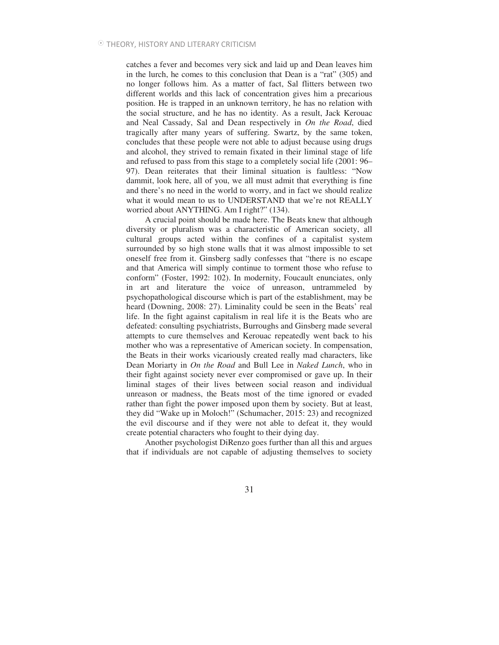catches a fever and becomes very sick and laid up and Dean leaves him in the lurch, he comes to this conclusion that Dean is a "rat" (305) and no longer follows him. As a matter of fact, Sal flitters between two different worlds and this lack of concentration gives him a precarious position. He is trapped in an unknown territory, he has no relation with the social structure, and he has no identity. As a result, Jack Kerouac and Neal Cassady, Sal and Dean respectively in *On the Road*, died tragically after many years of suffering. Swartz, by the same token, concludes that these people were not able to adjust because using drugs and alcohol, they strived to remain fixated in their liminal stage of life and refused to pass from this stage to a completely social life (2001: 96– 97). Dean reiterates that their liminal situation is faultless: "Now dammit, look here, all of you, we all must admit that everything is fine and there's no need in the world to worry, and in fact we should realize what it would mean to us to UNDERSTAND that we're not REALLY worried about ANYTHING. Am I right?" (134).

 A crucial point should be made here. The Beats knew that although diversity or pluralism was a characteristic of American society, all cultural groups acted within the confines of a capitalist system surrounded by so high stone walls that it was almost impossible to set oneself free from it. Ginsberg sadly confesses that "there is no escape and that America will simply continue to torment those who refuse to conform" (Foster, 1992: 102). In modernity, Foucault enunciates, only in art and literature the voice of unreason, untrammeled by psychopathological discourse which is part of the establishment, may be heard (Downing, 2008: 27). Liminality could be seen in the Beats' real life. In the fight against capitalism in real life it is the Beats who are defeated: consulting psychiatrists, Burroughs and Ginsberg made several attempts to cure themselves and Kerouac repeatedly went back to his mother who was a representative of American society. In compensation, the Beats in their works vicariously created really mad characters, like Dean Moriarty in *On the Road* and Bull Lee in *Naked Lunch*, who in their fight against society never ever compromised or gave up. In their liminal stages of their lives between social reason and individual unreason or madness, the Beats most of the time ignored or evaded rather than fight the power imposed upon them by society. But at least, they did "Wake up in Moloch!" (Schumacher, 2015: 23) and recognized the evil discourse and if they were not able to defeat it, they would create potential characters who fought to their dying day.

 Another psychologist DiRenzo goes further than all this and argues that if individuals are not capable of adjusting themselves to society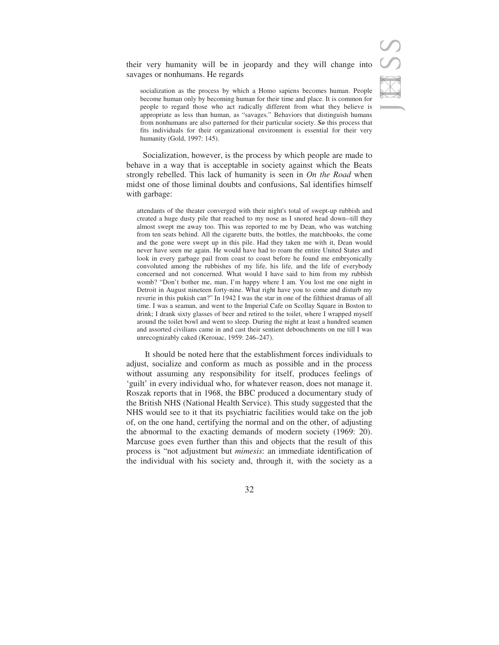their very humanity will be in jeopardy and they will change into savages or nonhumans. He regards

socialization as the process by which a Homo sapiens becomes human. People become human only by becoming human for their time and place. It is common for people to regard those who act radically different from what they believe is appropriate as less than human, as "savages." Behaviors that distinguish humans from nonhumans are also patterned for their particular society. *So* this process that fits individuals for their organizational environment is essential for their very humanity (Gold, 1997: 145).

Socialization, however, is the process by which people are made to behave in a way that is acceptable in society against which the Beats strongly rebelled. This lack of humanity is seen in *On the Road* when midst one of those liminal doubts and confusions, Sal identifies himself with garbage:

attendants of the theater converged with their night's total of swept-up rubbish and created a huge dusty pile that reached to my nose as I snored head down--till they almost swept me away too. This was reported to me by Dean, who was watching from ten seats behind. All the cigarette butts, the bottles, the matchbooks, the come and the gone were swept up in this pile. Had they taken me with it, Dean would never have seen me again. He would have had to roam the entire United States and look in every garbage pail from coast to coast before he found me embryonically convoluted among the rubbishes of my life, his life, and the life of everybody concerned and not concerned. What would I have said to him from my rubbish womb? "Don't bother me, man, I'm happy where I am. You lost me one night in Detroit in August nineteen forty-nine. What right have you to come and disturb my reverie in this pukish can?" In 1942 I was the star in one of the filthiest dramas of all time. I was a seaman, and went to the Imperial Cafe on Scollay Square in Boston to drink; I drank sixty glasses of beer and retired to the toilet, where I wrapped myself around the toilet bowl and went to sleep. During the night at least a hundred seamen and assorted civilians came in and cast their sentient debouchments on me till I was unrecognizably caked (Kerouac, 1959: 246–247).

 It should be noted here that the establishment forces individuals to adjust, socialize and conform as much as possible and in the process without assuming any responsibility for itself, produces feelings of 'guilt' in every individual who, for whatever reason, does not manage it. Roszak reports that in 1968, the BBC produced a documentary study of the British NHS (National Health Service). This study suggested that the NHS would see to it that its psychiatric facilities would take on the job of, on the one hand, certifying the normal and on the other, of adjusting the abnormal to the exacting demands of modern society (1969: 20). Marcuse goes even further than this and objects that the result of this process is "not adjustment but *mimesis*: an immediate identification of the individual with his society and, through it, with the society as a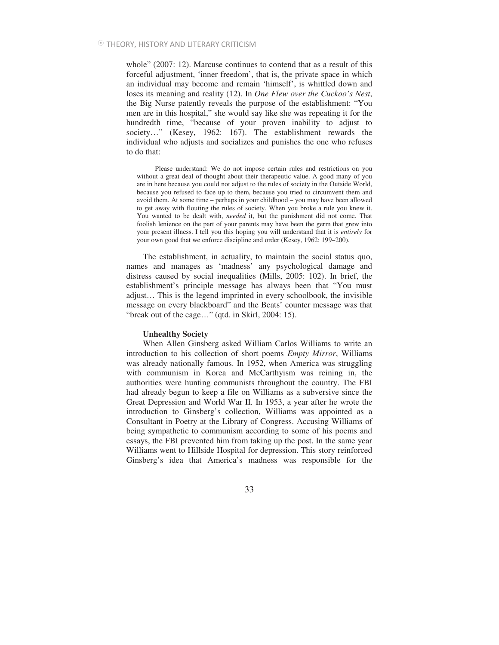whole" (2007: 12). Marcuse continues to contend that as a result of this forceful adjustment, 'inner freedom', that is, the private space in which an individual may become and remain 'himself', is whittled down and loses its meaning and reality (12). In *One Flew over the Cuckoo's Nest*, the Big Nurse patently reveals the purpose of the establishment: "You men are in this hospital," she would say like she was repeating it for the hundredth time, "because of your proven inability to adjust to society..." (Kesey, 1962: 167). The establishment rewards the individual who adjusts and socializes and punishes the one who refuses to do that:

 Please understand: We do not impose certain rules and restrictions on you without a great deal of thought about their therapeutic value. A good many of you are in here because you could not adjust to the rules of society in the Outside World, because you refused to face up to them, because you tried to circumvent them and avoid them. At some time – perhaps in your childhood – you may have been allowed to get away with flouting the rules of society. When you broke a rule you knew it. You wanted to be dealt with, *needed* it, but the punishment did not come. That foolish lenience on the part of your parents may have been the germ that grew into your present illness. I tell you this hoping you will understand that it is *entirely* for your own good that we enforce discipline and order (Kesey, 1962: 199–200).

The establishment, in actuality, to maintain the social status quo, names and manages as 'madness' any psychological damage and distress caused by social inequalities (Mills, 2005: 102). In brief, the establishment's principle message has always been that "You must adjust… This is the legend imprinted in every schoolbook, the invisible message on every blackboard" and the Beats' counter message was that "break out of the cage…" (qtd. in Skirl, 2004: 15).

## **Unhealthy Society**

When Allen Ginsberg asked William Carlos Williams to write an introduction to his collection of short poems *Empty Mirror*, Williams was already nationally famous. In 1952, when America was struggling with communism in Korea and McCarthyism was reining in, the authorities were hunting communists throughout the country. The FBI had already begun to keep a file on Williams as a subversive since the Great Depression and World War II. In 1953, a year after he wrote the introduction to Ginsberg's collection, Williams was appointed as a Consultant in Poetry at the Library of Congress. Accusing Williams of being sympathetic to communism according to some of his poems and essays, the FBI prevented him from taking up the post. In the same year Williams went to Hillside Hospital for depression. This story reinforced Ginsberg's idea that America's madness was responsible for the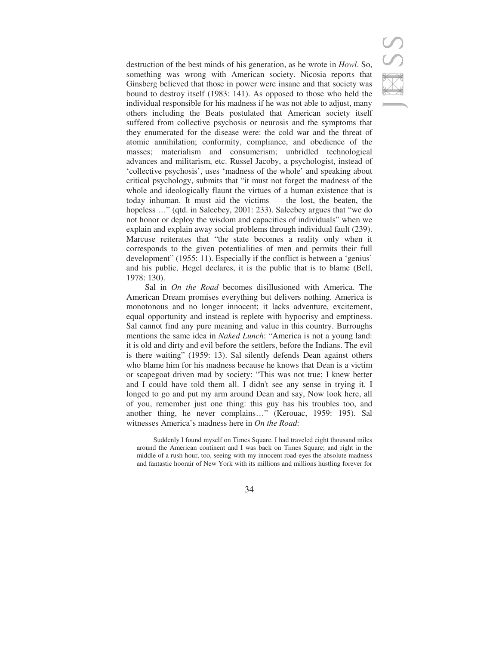destruction of the best minds of his generation, as he wrote in *Howl*. So, something was wrong with American society. Nicosia reports that Ginsberg believed that those in power were insane and that society was bound to destroy itself (1983: 141). As opposed to those who held the individual responsible for his madness if he was not able to adjust, many others including the Beats postulated that American society itself suffered from collective psychosis or neurosis and the symptoms that they enumerated for the disease were: the cold war and the threat of atomic annihilation; conformity, compliance, and obedience of the masses; materialism and consumerism; unbridled technological advances and militarism, etc. Russel Jacoby, a psychologist, instead of 'collective psychosis', uses 'madness of the whole' and speaking about critical psychology, submits that "it must not forget the madness of the whole and ideologically flaunt the virtues of a human existence that is today inhuman. It must aid the victims — the lost, the beaten, the hopeless ..." (qtd. in Saleebey, 2001: 233). Saleebey argues that "we do not honor or deploy the wisdom and capacities of individuals" when we explain and explain away social problems through individual fault (239). Marcuse reiterates that "the state becomes a reality only when it corresponds to the given potentialities of men and permits their full development" (1955: 11). Especially if the conflict is between a 'genius' and his public, Hegel declares, it is the public that is to blame (Bell, 1978: 130).

 Sal in *On the Road* becomes disillusioned with America. The American Dream promises everything but delivers nothing. America is monotonous and no longer innocent; it lacks adventure, excitement, equal opportunity and instead is replete with hypocrisy and emptiness. Sal cannot find any pure meaning and value in this country. Burroughs mentions the same idea in *Naked Lunch*: "America is not a young land: it is old and dirty and evil before the settlers, before the Indians. The evil is there waiting" (1959: 13). Sal silently defends Dean against others who blame him for his madness because he knows that Dean is a victim or scapegoat driven mad by society: "This was not true; I knew better and I could have told them all. I didn't see any sense in trying it. I longed to go and put my arm around Dean and say, Now look here, all of you, remember just one thing: this guy has his troubles too, and another thing, he never complains…" (Kerouac, 1959: 195). Sal witnesses America's madness here in *On the Road*:

Suddenly I found myself on Times Square. I had traveled eight thousand miles around the American continent and I was back on Times Square; and right in the middle of a rush hour, too, seeing with my innocent road-eyes the absolute madness and fantastic hoorair of New York with its millions and millions hustling forever for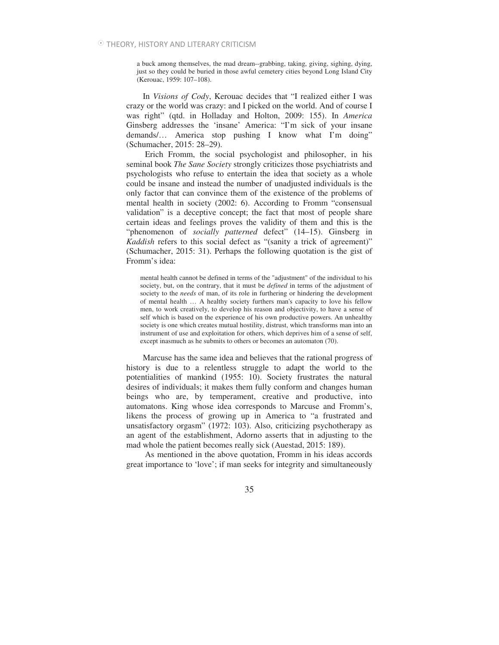a buck among themselves, the mad dream--grabbing, taking, giving, sighing, dying, just so they could be buried in those awful cemetery cities beyond Long Island City (Kerouac, 1959: 107–108).

In *Visions of Cody*, Kerouac decides that "I realized either I was crazy or the world was crazy: and I picked on the world. And of course I was right" (qtd. in Holladay and Holton, 2009: 155). In *America* Ginsberg addresses the 'insane' America: "I'm sick of your insane demands/… America stop pushing I know what I'm doing" (Schumacher, 2015: 28–29).

 Erich Fromm, the social psychologist and philosopher, in his seminal book *The Sane Society* strongly criticizes those psychiatrists and psychologists who refuse to entertain the idea that society as a whole could be insane and instead the number of unadjusted individuals is the only factor that can convince them of the existence of the problems of mental health in society (2002: 6). According to Fromm "consensual validation" is a deceptive concept; the fact that most of people share certain ideas and feelings proves the validity of them and this is the "phenomenon of *socially patterned* defect" (14–15). Ginsberg in *Kaddish* refers to this social defect as "(sanity a trick of agreement)" (Schumacher, 2015: 31). Perhaps the following quotation is the gist of Fromm's idea:

mental health cannot be defined in terms of the "adjustment" of the individual to his society, but, on the contrary, that it must be *defined* in terms of the adjustment of society to the *needs* of man, of its role in furthering or hindering the development of mental health … A healthy society furthers man's capacity to love his fellow men, to work creatively, to develop his reason and objectivity, to have a sense of self which is based on the experience of his own productive powers. An unhealthy society is one which creates mutual hostility, distrust, which transforms man into an instrument of use and exploitation for others, which deprives him of a sense of self, except inasmuch as he submits to others or becomes an automaton (70).

Marcuse has the same idea and believes that the rational progress of history is due to a relentless struggle to adapt the world to the potentialities of mankind (1955: 10). Society frustrates the natural desires of individuals; it makes them fully conform and changes human beings who are, by temperament, creative and productive, into automatons. King whose idea corresponds to Marcuse and Fromm's, likens the process of growing up in America to "a frustrated and unsatisfactory orgasm" (1972: 103). Also, criticizing psychotherapy as an agent of the establishment, Adorno asserts that in adjusting to the mad whole the patient becomes really sick (Auestad, 2015: 189).

 As mentioned in the above quotation, Fromm in his ideas accords great importance to 'love'; if man seeks for integrity and simultaneously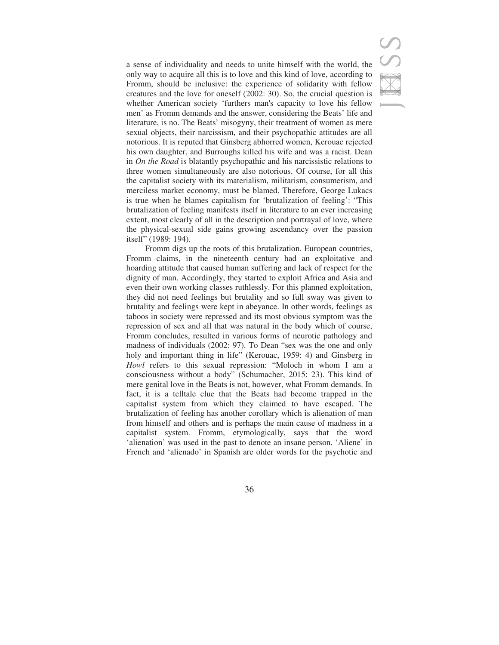a sense of individuality and needs to unite himself with the world, the only way to acquire all this is to love and this kind of love, according to Fromm, should be inclusive: the experience of solidarity with fellow creatures and the love for oneself (2002: 30). So, the crucial question is whether American society 'furthers man's capacity to love his fellow men' as Fromm demands and the answer, considering the Beats' life and literature, is no. The Beats' misogyny, their treatment of women as mere sexual objects, their narcissism, and their psychopathic attitudes are all notorious. It is reputed that Ginsberg abhorred women, Kerouac rejected his own daughter, and Burroughs killed his wife and was a racist. Dean in *On the Road* is blatantly psychopathic and his narcissistic relations to three women simultaneously are also notorious. Of course, for all this the capitalist society with its materialism, militarism, consumerism, and merciless market economy, must be blamed. Therefore, George Lukacs is true when he blames capitalism for 'brutalization of feeling': "This brutalization of feeling manifests itself in literature to an ever increasing extent, most clearly of all in the description and portrayal of love, where the physical-sexual side gains growing ascendancy over the passion itself" (1989: 194).

 Fromm digs up the roots of this brutalization. European countries, Fromm claims, in the nineteenth century had an exploitative and hoarding attitude that caused human suffering and lack of respect for the dignity of man. Accordingly, they started to exploit Africa and Asia and even their own working classes ruthlessly. For this planned exploitation, they did not need feelings but brutality and so full sway was given to brutality and feelings were kept in abeyance. In other words, feelings as taboos in society were repressed and its most obvious symptom was the repression of sex and all that was natural in the body which of course, Fromm concludes, resulted in various forms of neurotic pathology and madness of individuals (2002: 97). To Dean "sex was the one and only holy and important thing in life" (Kerouac, 1959: 4) and Ginsberg in *Howl* refers to this sexual repression: "Moloch in whom I am a consciousness without a body" (Schumacher, 2015: 23). This kind of mere genital love in the Beats is not, however, what Fromm demands. In fact, it is a telltale clue that the Beats had become trapped in the capitalist system from which they claimed to have escaped. The brutalization of feeling has another corollary which is alienation of man from himself and others and is perhaps the main cause of madness in a capitalist system. Fromm, etymologically, says that the word 'alienation' was used in the past to denote an insane person. 'Aliene' in French and 'alienado' in Spanish are older words for the psychotic and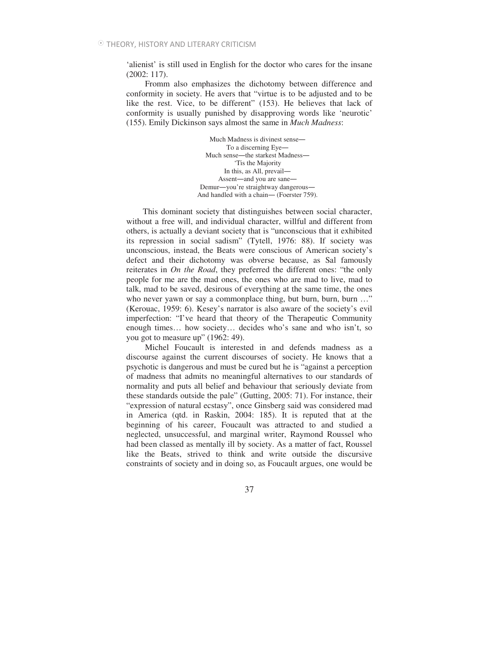'alienist' is still used in English for the doctor who cares for the insane (2002: 117).

 Fromm also emphasizes the dichotomy between difference and conformity in society. He avers that "virtue is to be adjusted and to be like the rest. Vice, to be different" (153). He believes that lack of conformity is usually punished by disapproving words like 'neurotic' (155). Emily Dickinson says almost the same in *Much Madness*:

> Much Madness is divinest sense To a discerning Eye Much sense-the starkest Madness-'Tis the Majority In this, as All, prevail Assent—and you are sane— Demur—you're straightway dangerous— And handled with a chain— (Foerster 759).

This dominant society that distinguishes between social character, without a free will, and individual character, willful and different from others, is actually a deviant society that is "unconscious that it exhibited its repression in social sadism" (Tytell, 1976: 88). If society was unconscious, instead, the Beats were conscious of American society's defect and their dichotomy was obverse because, as Sal famously reiterates in *On the Road*, they preferred the different ones: "the only people for me are the mad ones, the ones who are mad to live, mad to talk, mad to be saved, desirous of everything at the same time, the ones who never yawn or say a commonplace thing, but burn, burn, burn ..." (Kerouac, 1959: 6). Kesey's narrator is also aware of the society's evil imperfection: "I've heard that theory of the Therapeutic Community enough times… how society… decides who's sane and who isn't, so you got to measure up" (1962: 49).

 Michel Foucault is interested in and defends madness as a discourse against the current discourses of society. He knows that a psychotic is dangerous and must be cured but he is "against a perception of madness that admits no meaningful alternatives to our standards of normality and puts all belief and behaviour that seriously deviate from these standards outside the pale" (Gutting, 2005: 71). For instance, their "expression of natural ecstasy", once Ginsberg said was considered mad in America (qtd. in Raskin, 2004: 185). It is reputed that at the beginning of his career, Foucault was attracted to and studied a neglected, unsuccessful, and marginal writer, Raymond Roussel who had been classed as mentally ill by society. As a matter of fact, Roussel like the Beats, strived to think and write outside the discursive constraints of society and in doing so, as Foucault argues, one would be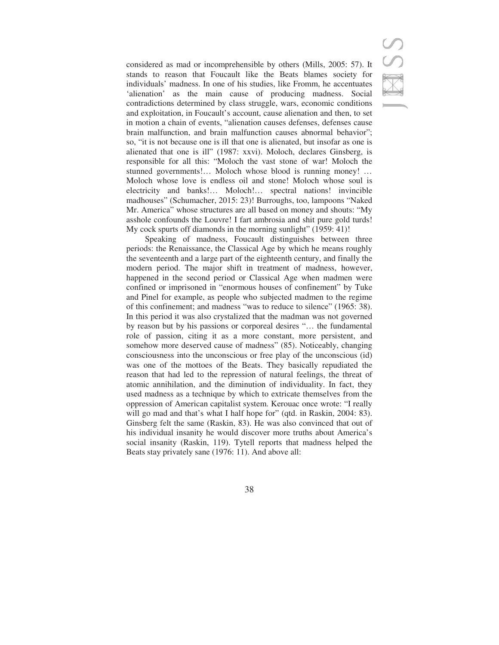considered as mad or incomprehensible by others (Mills, 2005: 57). It stands to reason that Foucault like the Beats blames society for individuals' madness. In one of his studies, like Fromm, he accentuates 'alienation' as the main cause of producing madness. Social contradictions determined by class struggle, wars, economic conditions and exploitation, in Foucault's account, cause alienation and then, to set in motion a chain of events, "alienation causes defenses, defenses cause brain malfunction, and brain malfunction causes abnormal behavior"; so, "it is not because one is ill that one is alienated, but insofar as one is alienated that one is ill" (1987: xxvi). Moloch, declares Ginsberg, is responsible for all this: "Moloch the vast stone of war! Moloch the stunned governments!… Moloch whose blood is running money! … Moloch whose love is endless oil and stone! Moloch whose soul is electricity and banks!… Moloch!… spectral nations! invincible madhouses" (Schumacher, 2015: 23)! Burroughs, too, lampoons "Naked Mr. America" whose structures are all based on money and shouts: "My asshole confounds the Louvre! I fart ambrosia and shit pure gold turds! My cock spurts off diamonds in the morning sunlight" (1959: 41)!

 Speaking of madness, Foucault distinguishes between three periods: the Renaissance, the Classical Age by which he means roughly the seventeenth and a large part of the eighteenth century, and finally the modern period. The major shift in treatment of madness, however, happened in the second period or Classical Age when madmen were confined or imprisoned in "enormous houses of confinement" by Tuke and Pinel for example, as people who subjected madmen to the regime of this confinement; and madness "was to reduce to silence" (1965: 38). In this period it was also crystalized that the madman was not governed by reason but by his passions or corporeal desires "… the fundamental role of passion, citing it as a more constant, more persistent, and somehow more deserved cause of madness" (85). Noticeably, changing consciousness into the unconscious or free play of the unconscious (id) was one of the mottoes of the Beats. They basically repudiated the reason that had led to the repression of natural feelings, the threat of atomic annihilation, and the diminution of individuality. In fact, they used madness as a technique by which to extricate themselves from the oppression of American capitalist system. Kerouac once wrote: "I really will go mad and that's what I half hope for" (qtd. in Raskin, 2004: 83). Ginsberg felt the same (Raskin, 83). He was also convinced that out of his individual insanity he would discover more truths about America's social insanity (Raskin, 119). Tytell reports that madness helped the Beats stay privately sane (1976: 11). And above all: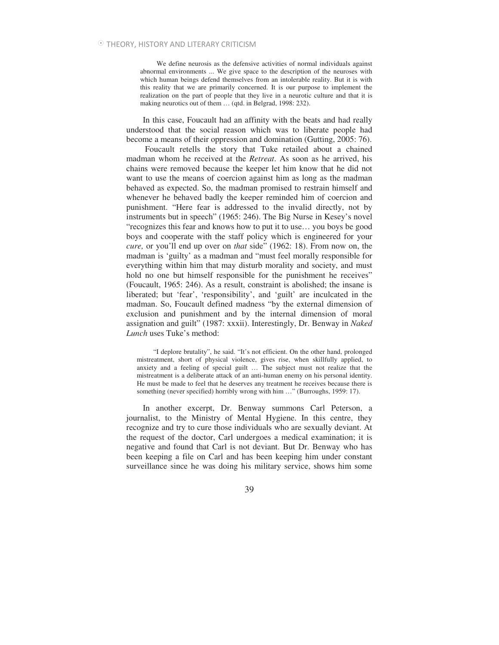We define neurosis as the defensive activities of normal individuals against abnormal environments ... We give space to the description of the neuroses with which human beings defend themselves from an intolerable reality. But it is with this reality that we are primarily concerned. It is our purpose to implement the realization on the part of people that they live in a neurotic culture and that it is making neurotics out of them … (qtd. in Belgrad, 1998: 232).

In this case, Foucault had an affinity with the beats and had really understood that the social reason which was to liberate people had become a means of their oppression and domination (Gutting, 2005: 76).

 Foucault retells the story that Tuke retailed about a chained madman whom he received at the *Retreat*. As soon as he arrived, his chains were removed because the keeper let him know that he did not want to use the means of coercion against him as long as the madman behaved as expected. So, the madman promised to restrain himself and whenever he behaved badly the keeper reminded him of coercion and punishment. "Here fear is addressed to the invalid directly, not by instruments but in speech" (1965: 246). The Big Nurse in Kesey's novel "recognizes this fear and knows how to put it to use… you boys be good boys and cooperate with the staff policy which is engineered for your *cure,* or you'll end up over on *that* side" (1962: 18). From now on, the madman is 'guilty' as a madman and "must feel morally responsible for everything within him that may disturb morality and society, and must hold no one but himself responsible for the punishment he receives" (Foucault, 1965: 246). As a result, constraint is abolished; the insane is liberated; but 'fear', 'responsibility', and 'guilt' are inculcated in the madman. So, Foucault defined madness "by the external dimension of exclusion and punishment and by the internal dimension of moral assignation and guilt" (1987: xxxii). Interestingly, Dr. Benway in *Naked Lunch* uses Tuke's method:

"I deplore brutality", he said. "It's not efficient. On the other hand, prolonged mistreatment, short of physical violence, gives rise, when skillfully applied, to anxiety and a feeling of special guilt … The subject must not realize that the mistreatment is a deliberate attack of an anti-human enemy on his personal identity. He must be made to feel that he deserves any treatment he receives because there is something (never specified) horribly wrong with him ..." (Burroughs, 1959: 17).

In another excerpt, Dr. Benway summons Carl Peterson, a journalist, to the Ministry of Mental Hygiene. In this centre, they recognize and try to cure those individuals who are sexually deviant. At the request of the doctor, Carl undergoes a medical examination; it is negative and found that Carl is not deviant. But Dr. Benway who has been keeping a file on Carl and has been keeping him under constant surveillance since he was doing his military service, shows him some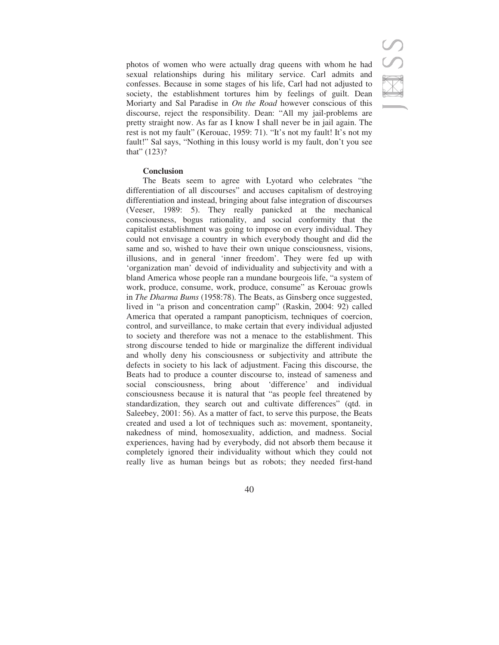photos of women who were actually drag queens with whom he had sexual relationships during his military service. Carl admits and confesses. Because in some stages of his life, Carl had not adjusted to society, the establishment tortures him by feelings of guilt. Dean Moriarty and Sal Paradise in *On the Road* however conscious of this discourse, reject the responsibility. Dean: "All my jail-problems are pretty straight now. As far as I know I shall never be in jail again. The rest is not my fault" (Kerouac, 1959: 71). "It's not my fault! It's not my fault!" Sal says, "Nothing in this lousy world is my fault, don't you see that" (123)?

### **Conclusion**

The Beats seem to agree with Lyotard who celebrates "the differentiation of all discourses" and accuses capitalism of destroying differentiation and instead, bringing about false integration of discourses (Veeser, 1989: 5). They really panicked at the mechanical consciousness, bogus rationality, and social conformity that the capitalist establishment was going to impose on every individual. They could not envisage a country in which everybody thought and did the same and so, wished to have their own unique consciousness, visions, illusions, and in general 'inner freedom'. They were fed up with 'organization man' devoid of individuality and subjectivity and with a bland America whose people ran a mundane bourgeois life, "a system of work, produce, consume, work, produce, consume" as Kerouac growls in *The Dharma Bums* (1958:78). The Beats, as Ginsberg once suggested, lived in "a prison and concentration camp" (Raskin, 2004: 92) called America that operated a rampant panopticism, techniques of coercion, control, and surveillance, to make certain that every individual adjusted to society and therefore was not a menace to the establishment. This strong discourse tended to hide or marginalize the different individual and wholly deny his consciousness or subjectivity and attribute the defects in society to his lack of adjustment. Facing this discourse, the Beats had to produce a counter discourse to, instead of sameness and social consciousness, bring about 'difference' and individual consciousness because it is natural that "as people feel threatened by standardization, they search out and cultivate differences" (qtd. in Saleebey, 2001: 56). As a matter of fact, to serve this purpose, the Beats created and used a lot of techniques such as: movement, spontaneity, nakedness of mind, homosexuality, addiction, and madness. Social experiences, having had by everybody, did not absorb them because it completely ignored their individuality without which they could not really live as human beings but as robots; they needed first-hand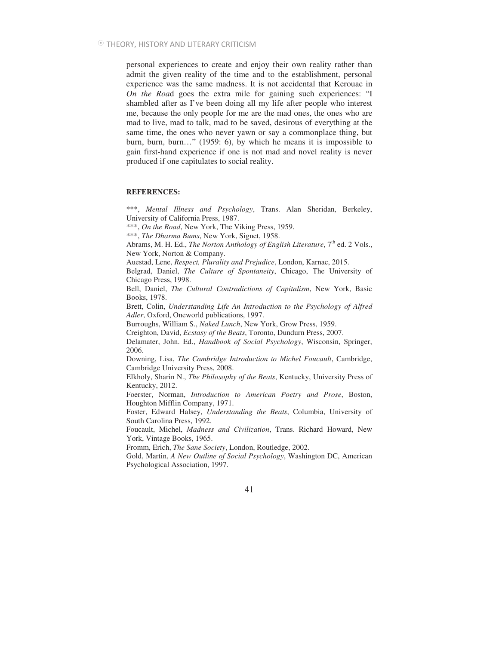personal experiences to create and enjoy their own reality rather than admit the given reality of the time and to the establishment, personal experience was the same madness. It is not accidental that Kerouac in *On the Roa*d goes the extra mile for gaining such experiences: "I shambled after as I've been doing all my life after people who interest me, because the only people for me are the mad ones, the ones who are mad to live, mad to talk, mad to be saved, desirous of everything at the same time, the ones who never yawn or say a commonplace thing, but burn, burn, burn…" (1959: 6), by which he means it is impossible to gain first-hand experience if one is not mad and novel reality is never produced if one capitulates to social reality.

# **REFERENCES:**

\*\*\*, *Mental Illness and Psychology*, Trans. Alan Sheridan, Berkeley, University of California Press, 1987.

\*\*\*, *On the Road*, New York, The Viking Press, 1959.

\*\*\*, *The Dharma Bums*, New York, Signet, 1958.

Abrams, M. H. Ed., *The Norton Anthology of English Literature*, 7<sup>th</sup> ed. 2 Vols., New York, Norton & Company.

Auestad, Lene, *Respect, Plurality and Prejudice*, London, Karnac, 2015.

Belgrad, Daniel, *The Culture of Spontaneity*, Chicago, The University of Chicago Press, 1998.

Bell, Daniel, *The Cultural Contradictions of Capitalism*, New York, Basic Books, 1978.

Brett, Colin, *Understanding Life An Introduction to the Psychology of Alfred Adler*, Oxford, Oneworld publications, 1997.

Burroughs, William S., *Naked Lunch*, New York, Grow Press, 1959.

Creighton, David, *Ecstasy of the Beats*, Toronto, Dundurn Press, 2007.

Delamater, John. Ed., *Handbook of Social Psychology*, Wisconsin, Springer, 2006.

Downing, Lisa, *The Cambridge Introduction to Michel Foucault*, Cambridge, Cambridge University Press, 2008.

Elkholy, Sharin N., *The Philosophy of the Beats*, Kentucky, University Press of Kentucky, 2012.

Foerster, Norman, *Introduction to American Poetry and Prose*, Boston, Houghton Mifflin Company, 1971.

Foster, Edward Halsey, *Understanding the Beats*, Columbia, University of South Carolina Press, 1992.

Foucault, Michel, *Madness and Civilization*, Trans. Richard Howard, New York, Vintage Books, 1965.

Fromm, Erich, *The Sane Society*, London, Routledge, 2002.

Gold, Martin, *A New Outline of Social Psychology*, Washington DC, American Psychological Association, 1997.